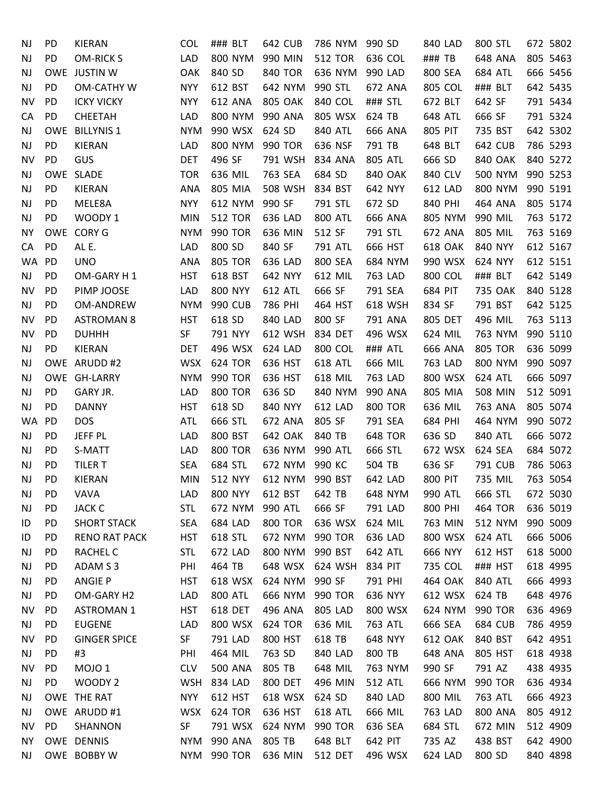| NJ        | PD        | KIERAN               | <b>COL</b> | ### BLT        | 642 CUB         | 786 NYM        | 990 SD         | 840 LAD        | 800 STL        | 672 5802 |
|-----------|-----------|----------------------|------------|----------------|-----------------|----------------|----------------|----------------|----------------|----------|
| <b>NJ</b> | PD        | <b>OM-RICK S</b>     | LAD        | 800 NYM        | 990 MIN         | <b>512 TOR</b> | 636 COL        | ### TB         | 648 ANA        | 805 5463 |
| <b>NJ</b> |           | OWE JUSTIN W         | OAK        | 840 SD         | <b>840 TOR</b>  | 636 NYM        | 990 LAD        | 800 SEA        | <b>684 ATL</b> | 666 5456 |
| <b>NJ</b> | PD        | <b>OM-CATHY W</b>    | <b>NYY</b> | 612 BST        | 642 NYM         | 990 STL        | 672 ANA        | 805 COL        | ### BLT        | 642 5435 |
| <b>NV</b> | <b>PD</b> | <b>ICKY VICKY</b>    | <b>NYY</b> | 612 ANA        | <b>805 OAK</b>  | 840 COL        | ### STL        | 672 BLT        | 642 SF         | 791 5434 |
| CA        | PD        | <b>CHEETAH</b>       | LAD        | 800 NYM        | 990 ANA         | 805 WSX        | 624 TB         | 648 ATL        | 666 SF         | 791 5324 |
| <b>NJ</b> |           | OWE BILLYNIS 1       | <b>NYM</b> | 990 WSX        | 624 SD          | 840 ATL        | 666 ANA        | 805 PIT        | 735 BST        | 642 5302 |
| NJ        | PD        | KIERAN               | LAD        | 800 NYM        | 990 TOR         | 636 NSF        | 791 TB         | 648 BLT        | 642 CUB        | 786 5293 |
| <b>NV</b> | PD        | GUS                  | <b>DET</b> | 496 SF         | 791 WSH         | 834 ANA        | 805 ATL        | 666 SD         | 840 OAK        | 840 5272 |
| <b>NJ</b> |           | OWE SLADE            | <b>TOR</b> | 636 MIL        | 763 SEA         | 684 SD         | 840 OAK        | 840 CLV        | 500 NYM        | 990 5253 |
| <b>NJ</b> | PD        | KIERAN               | <b>ANA</b> | 805 MIA        | 508 WSH         | 834 BST        | 642 NYY        | 612 LAD        | 800 NYM        | 990 5191 |
| <b>NJ</b> | PD        | MELE8A               | <b>NYY</b> | 612 NYM        | 990 SF          | 791 STL        | 672 SD         | 840 PHI        | 464 ANA        | 805 5174 |
| NJ        | PD        | WOODY 1              | <b>MIN</b> | <b>512 TOR</b> | 636 LAD         | <b>800 ATL</b> | 666 ANA        | 805 NYM        | 990 MIL        | 763 5172 |
| <b>NY</b> |           | OWE CORY G           | <b>NYM</b> | 990 TOR        | 636 MIN         | 512 SF         | 791 STL        | 672 ANA        | 805 MIL        | 763 5169 |
| CA        | PD        | AL E.                | LAD        | 800 SD         | 840 SF          | 791 ATL        | 666 HST        | <b>618 OAK</b> | 840 NYY        | 612 5167 |
| WA        | PD        | <b>UNO</b>           | ANA        | <b>805 TOR</b> | 636 LAD         | 800 SEA        | 684 NYM        | 990 WSX        | 624 NYY        | 612 5151 |
| <b>NJ</b> | PD        | OM-GARY H1           | <b>HST</b> | 618 BST        | 642 NYY         | 612 MIL        | 763 LAD        | 800 COL        | ### BLT        | 642 5149 |
| NV        | <b>PD</b> | PIMP JOOSE           | LAD        | <b>800 NYY</b> | 612 ATL         | 666 SF         | 791 SEA        | 684 PIT        | 735 OAK        | 840 5128 |
| <b>NJ</b> | PD        | OM-ANDREW            | <b>NYM</b> | <b>990 CUB</b> | 786 PHI         | 464 HST        | 618 WSH        | 834 SF         | 791 BST        | 642 5125 |
| NV        | PD        | <b>ASTROMAN 8</b>    | <b>HST</b> | 618 SD         | 840 LAD         | 800 SF         | 791 ANA        | 805 DET        | 496 MIL        | 763 5113 |
| <b>NV</b> | <b>PD</b> | <b>DUHHH</b>         | SF         | 791 NYY        | 612 WSH         | 834 DET        | 496 WSX        | 624 MIL        | 763 NYM        | 990 5110 |
| <b>NJ</b> | PD        | KIERAN               | <b>DET</b> | 496 WSX        | 624 LAD         | 800 COL        | ### ATL        | 666 ANA        | <b>805 TOR</b> | 636 5099 |
| <b>NJ</b> |           | OWE ARUDD #2         | <b>WSX</b> | <b>624 TOR</b> | 636 HST         | <b>618 ATL</b> | 666 MIL        | 763 LAD        | 800 NYM        | 990 5097 |
| <b>NJ</b> |           | OWE GH-LARRY         | <b>NYM</b> | 990 TOR        | 636 HST         | 618 MIL        | 763 LAD        | 800 WSX        | 624 ATL        | 666 5097 |
| <b>NJ</b> | PD        | GARY JR.             | LAD        | <b>800 TOR</b> | 636 SD          | 840 NYM        | 990 ANA        | 805 MIA        | 508 MIN        | 512 5091 |
| <b>NJ</b> | PD        | <b>DANNY</b>         | <b>HST</b> | 618 SD         | 840 NYY         | 612 LAD        | <b>800 TOR</b> | 636 MIL        | 763 ANA        | 805 5074 |
| WA        | <b>PD</b> | <b>DOS</b>           | <b>ATL</b> | 666 STL        | 672 ANA         | 805 SF         | 791 SEA        | 684 PHI        | 464 NYM        | 990 5072 |
| <b>NJ</b> | PD        | JEFF PL              | LAD        | 800 BST        | 642 OAK         | 840 TB         | <b>648 TOR</b> | 636 SD         | 840 ATL        | 666 5072 |
| <b>NJ</b> | PD.       | S-MATT               | LAD        | <b>800 TOR</b> | 636 NYM         | 990 ATL        | 666 STL        | 672 WSX        | 624 SEA        | 684 5072 |
| <b>NJ</b> | PD        | <b>TILER T</b>       | <b>SEA</b> | 684 STL        | 672 NYM         | 990 KC         | 504 TB         | 636 SF         | 791 CUB        | 786 5063 |
| NJ        | PD        | <b>KIERAN</b>        | <b>MIN</b> | 512 NYY        | 612 NYM 990 BST |                | 642 LAD        | 800 PIT        | 735 MIL        | 763 5054 |
| NJ        | PD        | VAVA                 | LAD        | <b>800 NYY</b> | 612 BST         | 642 TB         | 648 NYM        | 990 ATL        | 666 STL        | 672 5030 |
| NJ        | PD        | <b>JACK C</b>        | <b>STL</b> | 672 NYM        | 990 ATL         | 666 SF         | 791 LAD        | 800 PHI        | 464 TOR        | 636 5019 |
| ID        | PD        | <b>SHORT STACK</b>   | <b>SEA</b> | 684 LAD        | <b>800 TOR</b>  | 636 WSX        | 624 MIL        | 763 MIN        | 512 NYM        | 990 5009 |
| ID        | <b>PD</b> | <b>RENO RAT PACK</b> | <b>HST</b> | 618 STL        | 672 NYM         | 990 TOR        | 636 LAD        | 800 WSX        | 624 ATL        | 666 5006 |
| NJ        | PD.       | RACHEL C             | <b>STL</b> | 672 LAD        | 800 NYM         | 990 BST        | 642 ATL        | 666 NYY        | 612 HST        | 618 5000 |
| <b>NJ</b> | PD        | ADAM S3              | PHI        | 464 TB         | 648 WSX         | 624 WSH        | 834 PIT        | 735 COL        | ### HST        | 618 4995 |
| <b>NJ</b> | PD        | <b>ANGIE P</b>       | HST        | 618 WSX        | 624 NYM         | 990 SF         | 791 PHI        | 464 OAK        | 840 ATL        | 666 4993 |
| <b>NJ</b> | PD        | OM-GARY H2           | LAD        | <b>800 ATL</b> | 666 NYM         | 990 TOR        | 636 NYY        | 612 WSX        | 624 TB         | 648 4976 |
| NV        | PD        | <b>ASTROMAN 1</b>    | <b>HST</b> | 618 DET        | 496 ANA         | 805 LAD        | 800 WSX        | 624 NYM        | 990 TOR        | 636 4969 |
| <b>NJ</b> | PD.       | <b>EUGENE</b>        | LAD        | 800 WSX        | 624 TOR         | 636 MIL        | 763 ATL        | 666 SEA        | <b>684 CUB</b> | 786 4959 |
| NV        | <b>PD</b> | <b>GINGER SPICE</b>  | SF         | 791 LAD        | 800 HST         | 618 TB         | 648 NYY        | <b>612 OAK</b> | 840 BST        | 642 4951 |
| <b>NJ</b> | PD        | #3                   | PHI        | 464 MIL        | 763 SD          | 840 LAD        | 800 TB         | 648 ANA        | 805 HST        | 618 4938 |
| <b>NV</b> | <b>PD</b> | MOJO <sub>1</sub>    | <b>CLV</b> | <b>500 ANA</b> | 805 TB          | 648 MIL        | 763 NYM        | 990 SF         | 791 AZ         | 438 4935 |
| <b>NJ</b> | PD        | WOODY <sub>2</sub>   | <b>WSH</b> | 834 LAD        | 800 DET         | 496 MIN        | 512 ATL        | 666 NYM        | 990 TOR        | 636 4934 |
| <b>NJ</b> |           | OWE THE RAT          | <b>NYY</b> | 612 HST        | 618 WSX         | 624 SD         | 840 LAD        | 800 MIL        | 763 ATL        | 666 4923 |
| <b>NJ</b> |           | OWE ARUDD #1         | <b>WSX</b> | 624 TOR        | 636 HST         | <b>618 ATL</b> | 666 MIL        | 763 LAD        | <b>800 ANA</b> | 805 4912 |
| NV.       | <b>PD</b> | SHANNON              | SF         | 791 WSX        | 624 NYM         | 990 TOR        | 636 SEA        | 684 STL        | 672 MIN        | 512 4909 |
| ΝY        |           | OWE DENNIS           | <b>NYM</b> | 990 ANA        | 805 TB          | 648 BLT        | 642 PIT        | 735 AZ         | 438 BST        | 642 4900 |
| NJ        |           | OWE BOBBY W          |            |                |                 | 512 DET        |                | 624 LAD        | 800 SD         | 840 4898 |
|           |           |                      |            | NYM 990 TOR    | 636 MIN         |                | 496 WSX        |                |                |          |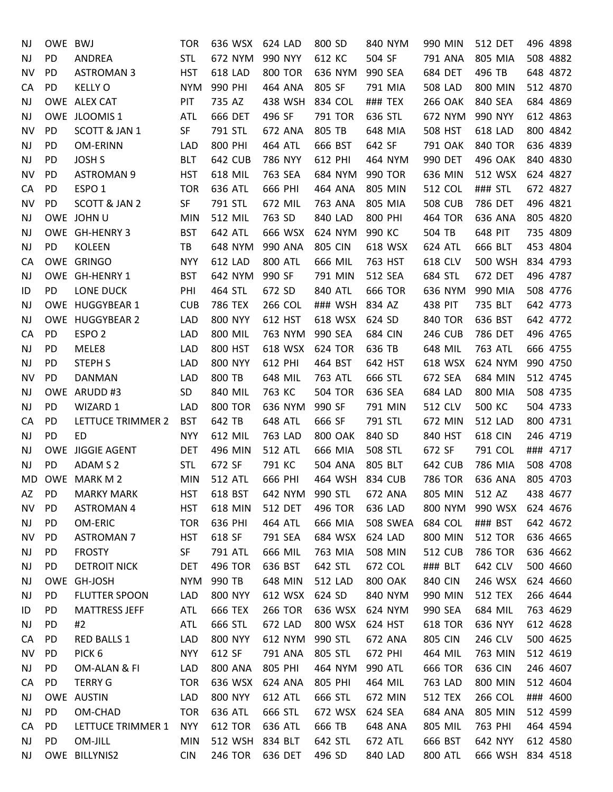| NJ        | OWE BWJ   |                      | <b>TOR</b> | 636 WSX        | 624 LAD        | 800 SD          | 840 NYM        | 990 MIN        | <b>512 DET</b>   | 496 4898 |
|-----------|-----------|----------------------|------------|----------------|----------------|-----------------|----------------|----------------|------------------|----------|
| <b>NJ</b> | PD        | ANDREA               | <b>STL</b> | 672 NYM        | 990 NYY        | 612 KC          | 504 SF         | 791 ANA        | 805 MIA          | 508 4882 |
| NV        | <b>PD</b> | <b>ASTROMAN 3</b>    | <b>HST</b> | 618 LAD        | <b>800 TOR</b> | 636 NYM         | 990 SEA        | 684 DET        | 496 TB           | 648 4872 |
| CA        | PD        | <b>KELLY O</b>       | <b>NYM</b> | 990 PHI        | 464 ANA        | 805 SF          | 791 MIA        | 508 LAD        | 800 MIN          | 512 4870 |
| <b>NJ</b> |           | OWE ALEX CAT         | PIT        | 735 AZ         | 438 WSH        | 834 COL         | ### TEX        | <b>266 OAK</b> | 840 SEA          | 684 4869 |
| <b>NJ</b> |           | OWE JLOOMIS 1        | <b>ATL</b> | 666 DET        | 496 SF         | 791 TOR         | 636 STL        | 672 NYM        | 990 NYY          | 612 4863 |
| <b>NV</b> | <b>PD</b> | SCOTT & JAN 1        | <b>SF</b>  | 791 STL        | 672 ANA        | 805 TB          | 648 MIA        | 508 HST        | 618 LAD          | 800 4842 |
| NJ        | PD        | <b>OM-ERINN</b>      | LAD        | 800 PHI        | <b>464 ATL</b> | 666 BST         | 642 SF         | 791 OAK        | <b>840 TOR</b>   | 636 4839 |
| <b>NJ</b> | PD        | <b>JOSH S</b>        | <b>BLT</b> | <b>642 CUB</b> | 786 NYY        | 612 PHI         | 464 NYM        | 990 DET        | 496 OAK          | 840 4830 |
| NV        | <b>PD</b> | <b>ASTROMAN 9</b>    | <b>HST</b> | 618 MIL        | 763 SEA        | 684 NYM         | 990 TOR        | 636 MIN        | 512 WSX          | 624 4827 |
| CA        | PD        | ESPO <sub>1</sub>    | <b>TOR</b> | 636 ATL        | 666 PHI        | 464 ANA         | 805 MIN        | 512 COL        | ### STL          | 672 4827 |
| <b>NV</b> | PD        | SCOTT & JAN 2        | SF         | 791 STL        | 672 MIL        | 763 ANA         | 805 MIA        | <b>508 CUB</b> | 786 DET          | 496 4821 |
| <b>NJ</b> |           | OWE JOHN U           | <b>MIN</b> | 512 MIL        | 763 SD         | 840 LAD         | 800 PHI        | 464 TOR        | 636 ANA          | 805 4820 |
| <b>NJ</b> |           | OWE GH-HENRY 3       | <b>BST</b> | 642 ATL        | 666 WSX        | 624 NYM         | 990 KC         | 504 TB         | 648 PIT          | 735 4809 |
| <b>NJ</b> | PD        | <b>KOLEEN</b>        | TB         | 648 NYM        | 990 ANA        | <b>805 CIN</b>  | 618 WSX        | 624 ATL        | 666 BLT          | 453 4804 |
| CA        |           | OWE GRINGO           | <b>NYY</b> | 612 LAD        | <b>800 ATL</b> | 666 MIL         | 763 HST        | 618 CLV        | 500 WSH          | 834 4793 |
| <b>NJ</b> |           | OWE GH-HENRY 1       | <b>BST</b> | 642 NYM        | 990 SF         | 791 MIN         | 512 SEA        | 684 STL        | 672 DET          | 496 4787 |
| ID        | PD        | LONE DUCK            | PHI        | 464 STL        | 672 SD         | 840 ATL         | 666 TOR        | 636 NYM        | 990 MIA          | 508 4776 |
| <b>NJ</b> |           | OWE HUGGYBEAR 1      | <b>CUB</b> | 786 TEX        | 266 COL        | ### WSH         | 834 AZ         | 438 PIT        | 735 BLT          | 642 4773 |
| <b>NJ</b> |           | OWE HUGGYBEAR 2      | LAD        | <b>800 NYY</b> | 612 HST        | 618 WSX         | 624 SD         | <b>840 TOR</b> | 636 BST          | 642 4772 |
| CA        | <b>PD</b> | ESPO <sub>2</sub>    | LAD        | 800 MIL        | 763 NYM        | 990 SEA         | 684 CIN        | <b>246 CUB</b> | 786 DET          | 496 4765 |
| <b>NJ</b> | PD        | MELE8                | LAD        | 800 HST        | 618 WSX        | 624 TOR         | 636 TB         | 648 MIL        | 763 ATL          | 666 4755 |
| <b>NJ</b> | PD        | <b>STEPH S</b>       | LAD        | <b>800 NYY</b> | 612 PHI        | 464 BST         | 642 HST        | 618 WSX        | 624 NYM          | 990 4750 |
| <b>NV</b> | <b>PD</b> | <b>DANMAN</b>        | LAD        | 800 TB         | 648 MIL        | 763 ATL         | 666 STL        | 672 SEA        | 684 MIN          | 512 4745 |
| <b>NJ</b> |           | OWE ARUDD #3         | SD         | 840 MIL        | 763 KC         | <b>504 TOR</b>  | 636 SEA        | 684 LAD        | 800 MIA          | 508 4735 |
| <b>NJ</b> | PD        | WIZARD 1             | LAD        | <b>800 TOR</b> | 636 NYM        | 990 SF          | 791 MIN        | 512 CLV        | 500 KC           | 504 4733 |
| СA        | <b>PD</b> | LETTUCE TRIMMER 2    | <b>BST</b> | 642 TB         | 648 ATL        | 666 SF          | 791 STL        | 672 MIN        | <b>512 LAD</b>   | 800 4731 |
| <b>NJ</b> | <b>PD</b> | <b>ED</b>            | <b>NYY</b> | 612 MIL        | 763 LAD        | <b>800 OAK</b>  | 840 SD         | 840 HST        | <b>618 CIN</b>   | 246 4719 |
| <b>NJ</b> |           | OWE JIGGIE AGENT     | <b>DET</b> | 496 MIN        | <b>512 ATL</b> | 666 MIA         | 508 STL        | 672 SF         | 791 COL          | ### 4717 |
| <b>NJ</b> | PD        | ADAM S 2             | <b>STL</b> | 672 SF         | 791 KC         | <b>504 ANA</b>  | 805 BLT        | 642 CUB        | 786 MIA          | 508 4708 |
| MD.       |           | OWE MARK M 2         | <b>MIN</b> | <b>512 ATL</b> | 666 PHI        | 464 WSH 834 CUB |                | 786 TOR        | 636 ANA          | 805 4703 |
| AZ        | <b>PD</b> | <b>MARKY MARK</b>    | <b>HST</b> | 618 BST        | 642 NYM        | 990 STL         | 672 ANA        | 805 MIN        | 512 AZ           | 438 4677 |
| <b>NV</b> | PD        | <b>ASTROMAN 4</b>    | <b>HST</b> | 618 MIN        | 512 DET        | 496 TOR         | 636 LAD        | 800 NYM        | 990 WSX          | 624 4676 |
| NJ        | <b>PD</b> | OM-ERIC              | <b>TOR</b> | 636 PHI        | 464 ATL        | 666 MIA         | 508 SWEA       | 684 COL        | ### BST          | 642 4672 |
| NV        | <b>PD</b> | <b>ASTROMAN 7</b>    | <b>HST</b> | 618 SF         | 791 SEA        | 684 WSX         | 624 LAD        | 800 MIN        | <b>512 TOR</b>   | 636 4665 |
| NJ        | PD        | <b>FROSTY</b>        | SF         | 791 ATL        | 666 MIL        | 763 MIA         | 508 MIN        | <b>512 CUB</b> | 786 TOR          | 636 4662 |
| <b>NJ</b> | PD        | <b>DETROIT NICK</b>  | <b>DET</b> | 496 TOR        | 636 BST        | 642 STL         | 672 COL        | ### BLT        | 642 CLV          | 500 4660 |
| <b>NJ</b> |           | OWE GH-JOSH          | <b>NYM</b> | 990 TB         | 648 MIN        | 512 LAD         | <b>800 OAK</b> | 840 CIN        | 246 WSX          | 624 4660 |
| NJ        | PD        | FLUTTER SPOON        | LAD        | <b>800 NYY</b> | 612 WSX        | 624 SD          | 840 NYM        | 990 MIN        | <b>512 TEX</b>   | 266 4644 |
| ID        | PD        | <b>MATTRESS JEFF</b> | ATL        | 666 TEX        | <b>266 TOR</b> | 636 WSX         | 624 NYM        | 990 SEA        | 684 MIL          | 763 4629 |
| <b>NJ</b> | PD.       | #2                   | ATL        | 666 STL        | 672 LAD        | 800 WSX         | 624 HST        | <b>618 TOR</b> | 636 NYY          | 612 4628 |
| CA        | <b>PD</b> | RED BALLS 1          | LAD        | <b>800 NYY</b> | 612 NYM        | 990 STL         | 672 ANA        | 805 CIN        | 246 CLV          | 500 4625 |
| <b>NV</b> | <b>PD</b> | PICK <sub>6</sub>    | <b>NYY</b> | 612 SF         | 791 ANA        | 805 STL         | 672 PHI        | 464 MIL        | 763 MIN          | 512 4619 |
| <b>NJ</b> | <b>PD</b> | OM-ALAN & FI         | LAD        | <b>800 ANA</b> | 805 PHI        | 464 NYM         | 990 ATL        | <b>666 TOR</b> | 636 CIN          | 246 4607 |
| CA        | PD        | <b>TERRY G</b>       | <b>TOR</b> | 636 WSX        | 624 ANA        | 805 PHI         | 464 MIL        | 763 LAD        | 800 MIN          | 512 4604 |
| <b>NJ</b> |           | OWE AUSTIN           | LAD        | <b>800 NYY</b> | 612 ATL        | 666 STL         | 672 MIN        | <b>512 TEX</b> | 266 COL          | ### 4600 |
| <b>NJ</b> | PD        | OM-CHAD              | <b>TOR</b> | 636 ATL        | 666 STL        | 672 WSX         | 624 SEA        | 684 ANA        | 805 MIN          | 512 4599 |
| CA        | PD.       | LETTUCE TRIMMER 1    | <b>NYY</b> | <b>612 TOR</b> | 636 ATL        | 666 TB          | 648 ANA        | 805 MIL        | 763 PHI          | 464 4594 |
| <b>NJ</b> | PD.       | OM-JILL              | <b>MIN</b> | 512 WSH        | 834 BLT        | 642 STL         | 672 ATL        | 666 BST        | 642 NYY          | 612 4580 |
| <b>NJ</b> |           | OWE BILLYNIS2        | <b>CIN</b> | 246 TOR        | 636 DET        | 496 SD          | 840 LAD        | 800 ATL        | 666 WSH 834 4518 |          |
|           |           |                      |            |                |                |                 |                |                |                  |          |